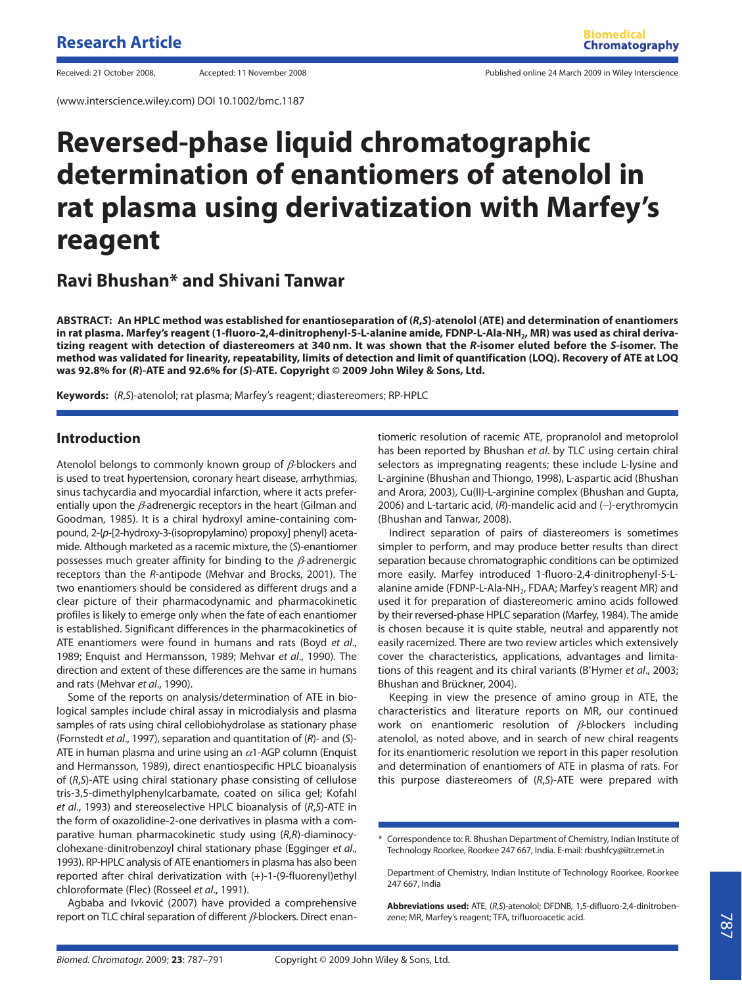(www.interscience.wiley.com) DOI 10.1002/bmc.1187

Received: 21 October 2008, Accepted: 11 November 2008 Published online 24 March 2009 in Wiley Interscience

# **Reversed-phase liquid chromatographic determination of enantiomers of atenolol in rat plasma using derivatization with Marfey's reagent**

## **Ravi Bhushan\* and Shivani Tanwar**

**ABSTRACT: An HPLC method was established for enantioseparation of (***R***,***S***)-atenolol (ATE) and determination of enantiomers** in rat plasma. Marfey's reagent (1-fluoro-2,4-dinitrophenyl-5-L-alanine amide, FDNP-L-Ala-NH<sub>2</sub>, MR) was used as chiral deriva**tizing reagent with detection of diastereomers at 340 nm. It was shown that the** *R***-isomer eluted before the** *S***-isomer. The method was validated for linearity, repeatability, limits of detection and limit of quantification (LOQ). Recovery of ATE at LOQ was 92.8% for (***R***)-ATE and 92.6% for (***S***)-ATE. Copyright © 2009 John Wiley & Sons, Ltd.**

**Keywords:** (R,S)-atenolol; rat plasma; Marfey's reagent; diastereomers; RP-HPLC

### **Introduction**

Atenolol belongs to commonly known group of  $\beta$ -blockers and is used to treat hypertension, coronary heart disease, arrhythmias, sinus tachycardia and myocardial infarction, where it acts preferentially upon the  $\beta$ -adrenergic receptors in the heart (Gilman and Goodman, 1985). It is a chiral hydroxyl amine-containing compound, 2-{p-[2-hydroxy-3-(isopropylamino) propoxy] phenyl} acetamide. Although marketed as a racemic mixture, the (S)-enantiomer possesses much greater affinity for binding to the  $\beta$ -adrenergic receptors than the R-antipode (Mehvar and Brocks, 2001). The two enantiomers should be considered as different drugs and a clear picture of their pharmacodynamic and pharmacokinetic profiles is likely to emerge only when the fate of each enantiomer is established. Significant differences in the pharmacokinetics of ATE enantiomers were found in humans and rats (Boyd et al., 1989; Enquist and Hermansson, 1989; Mehvar et al., 1990). The direction and extent of these differences are the same in humans and rats (Mehvar et al., 1990).

Some of the reports on analysis/determination of ATE in biological samples include chiral assay in microdialysis and plasma samples of rats using chiral cellobiohydrolase as stationary phase (Fornstedt et al., 1997), separation and quantitation of (R)- and (S)- ATE in human plasma and urine using an  $\alpha$ 1-AGP column (Enquist and Hermansson, 1989), direct enantiospecific HPLC bioanalysis of (R,S)-ATE using chiral stationary phase consisting of cellulose tris-3,5-dimethylphenylcarbamate, coated on silica gel; Kofahl et al., 1993) and stereoselective HPLC bioanalysis of (R,S)-ATE in the form of oxazolidine-2-one derivatives in plasma with a comparative human pharmacokinetic study using (R,R)-diaminocyclohexane-dinitrobenzoyl chiral stationary phase (Egginger et al., 1993). RP-HPLC analysis of ATE enantiomers in plasma has also been reported after chiral derivatization with (+)-1-(9-fluorenyl)ethyl chloroformate (Flec) (Rosseel et al., 1991).

Agbaba and Ivkovic (2007) have provided a comprehensive report on TLC chiral separation of different  $\beta$ -blockers. Direct enan-

tiomeric resolution of racemic ATE, propranolol and metoprolol has been reported by Bhushan et al. by TLC using certain chiral selectors as impregnating reagents; these include L-lysine and L-arginine (Bhushan and Thiongo, 1998), L-aspartic acid (Bhushan and Arora, 2003), Cu(II)-L-arginine complex (Bhushan and Gupta, 2006) and L-tartaric acid, (R)-mandelic acid and (-)-erythromycin (Bhushan and Tanwar, 2008).

Indirect separation of pairs of diastereomers is sometimes simpler to perform, and may produce better results than direct separation because chromatographic conditions can be optimized more easily. Marfey introduced 1-fluoro-2,4-dinitrophenyl-5-Lalanine amide (FDNP-L-Ala-NH<sub>2</sub>, FDAA; Marfey's reagent MR) and used it for preparation of diastereomeric amino acids followed by their reversed-phase HPLC separation (Marfey, 1984). The amide is chosen because it is quite stable, neutral and apparently not easily racemized. There are two review articles which extensively cover the characteristics, applications, advantages and limitations of this reagent and its chiral variants (B'Hymer et al., 2003; Bhushan and Brückner, 2004).

Keeping in view the presence of amino group in ATE, the characteristics and literature reports on MR, our continued work on enantiomeric resolution of  $\beta$ -blockers including atenolol, as noted above, and in search of new chiral reagents for its enantiomeric resolution we report in this paper resolution and determination of enantiomers of ATE in plasma of rats. For this purpose diastereomers of  $(R, S)$ -ATE were prepared with

**Abbreviations used:** ATE, (R,S)-atenolol; DFDNB, 1,5-difluoro-2,4-dinitrobenzene; MR, Marfey's reagent; TFA, trifluoroacetic acid.

<sup>\*</sup> Correspondence to: R. Bhushan Department of Chemistry, Indian Institute of Technology Roorkee, Roorkee 247 667, India. E-mail: rbushfcy@iitr.ernet.in

Department of Chemistry, Indian Institute of Technology Roorkee, Roorkee 247 667, India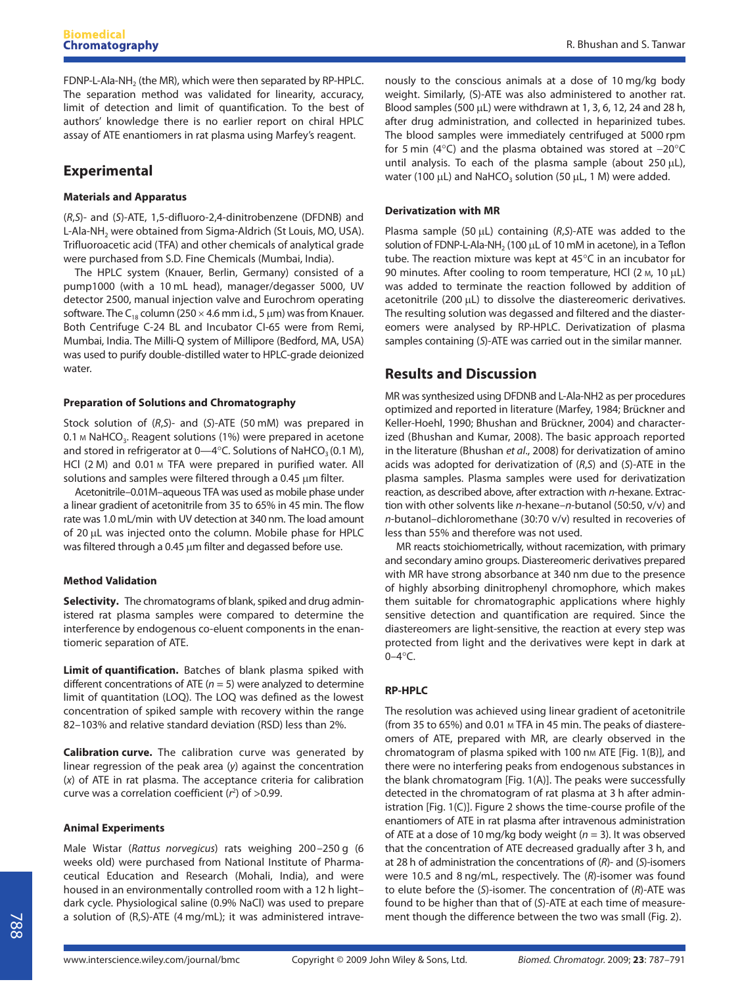FDNP-L-Ala-NH<sub>2</sub> (the MR), which were then separated by RP-HPLC. The separation method was validated for linearity, accuracy, limit of detection and limit of quantification. To the best of authors' knowledge there is no earlier report on chiral HPLC assay of ATE enantiomers in rat plasma using Marfey's reagent.

## **Experimental**

#### **Materials and Apparatus**

(R,S)- and (S)-ATE, 1,5-difluoro-2,4-dinitrobenzene (DFDNB) and L-Ala-NH<sub>2</sub> were obtained from Sigma-Aldrich (St Louis, MO, USA). Trifluoroacetic acid (TFA) and other chemicals of analytical grade were purchased from S.D. Fine Chemicals (Mumbai, India).

The HPLC system (Knauer, Berlin, Germany) consisted of a pump1000 (with a 10 mL head), manager/degasser 5000, UV detector 2500, manual injection valve and Eurochrom operating software. The C<sub>18</sub> column (250  $\times$  4.6 mm i.d., 5 µm) was from Knauer. Both Centrifuge C-24 BL and Incubator CI-65 were from Remi, Mumbai, India. The Milli-Q system of Millipore (Bedford, MA, USA) was used to purify double-distilled water to HPLC-grade deionized water.

#### **Preparation of Solutions and Chromatography**

Stock solution of (R,S)- and (S)-ATE (50 mM) was prepared in 0.1 M NaHCO<sub>3</sub>. Reagent solutions (1%) were prepared in acetone and stored in refrigerator at  $0 - 4$ °C. Solutions of NaHCO<sub>3</sub> (0.1 M), HCl (2 M) and 0.01 M TFA were prepared in purified water. All solutions and samples were filtered through a 0.45 μm filter.

Acetonitrile–0.01M–aqueous TFA was used as mobile phase under a linear gradient of acetonitrile from 35 to 65% in 45 min. The flow rate was 1.0 mL/min with UV detection at 340 nm. The load amount of 20 μL was injected onto the column. Mobile phase for HPLC was filtered through a 0.45 μm filter and degassed before use.

#### **Method Validation**

**Selectivity.** The chromatograms of blank, spiked and drug administered rat plasma samples were compared to determine the interference by endogenous co-eluent components in the enantiomeric separation of ATE.

**Limit of quantification.** Batches of blank plasma spiked with different concentrations of ATE ( $n = 5$ ) were analyzed to determine limit of quantitation (LOQ). The LOQ was defined as the lowest concentration of spiked sample with recovery within the range 82–103% and relative standard deviation (RSD) less than 2%.

**Calibration curve.** The calibration curve was generated by linear regression of the peak area (y) against the concentration (x) of ATE in rat plasma. The acceptance criteria for calibration curve was a correlation coefficient  $(r^2)$  of  $>0.99$ .

#### **Animal Experiments**

Male Wistar (Rattus norvegicus) rats weighing 200–250 g (6 weeks old) were purchased from National Institute of Pharmaceutical Education and Research (Mohali, India), and were housed in an environmentally controlled room with a 12 h light– dark cycle. Physiological saline (0.9% NaCl) was used to prepare a solution of (R,S)-ATE (4 mg/mL); it was administered intravenously to the conscious animals at a dose of 10 mg/kg body weight. Similarly, (S)-ATE was also administered to another rat. Blood samples (500 μL) were withdrawn at 1, 3, 6, 12, 24 and 28 h, after drug administration, and collected in heparinized tubes. The blood samples were immediately centrifuged at 5000 rpm for 5 min (4°C) and the plasma obtained was stored at −20°C until analysis. To each of the plasma sample (about 250 μL), water (100  $\mu$ L) and NaHCO<sub>3</sub> solution (50  $\mu$ L, 1 M) were added.

#### **Derivatization with MR**

Plasma sample (50  $\mu$ L) containing (R,S)-ATE was added to the solution of FDNP-L-Ala-NH<sub>2</sub> (100  $\mu$ L of 10 mM in acetone), in a Teflon tube. The reaction mixture was kept at 45°C in an incubator for 90 minutes. After cooling to room temperature, HCl (2 M, 10 μL) was added to terminate the reaction followed by addition of acetonitrile (200 μL) to dissolve the diastereomeric derivatives. The resulting solution was degassed and filtered and the diastereomers were analysed by RP-HPLC. Derivatization of plasma samples containing (S)-ATE was carried out in the similar manner.

## **Results and Discussion**

MR was synthesized using DFDNB and L-Ala-NH2 as per procedures optimized and reported in literature (Marfey, 1984; Brückner and Keller-Hoehl, 1990; Bhushan and Brückner, 2004) and characterized (Bhushan and Kumar, 2008). The basic approach reported in the literature (Bhushan et al., 2008) for derivatization of amino acids was adopted for derivatization of (R,S) and (S)-ATE in the plasma samples. Plasma samples were used for derivatization reaction, as described above, after extraction with n-hexane. Extraction with other solvents like n-hexane-n-butanol (50:50, v/v) and n-butanol–dichloromethane (30:70 v/v) resulted in recoveries of less than 55% and therefore was not used.

MR reacts stoichiometrically, without racemization, with primary and secondary amino groups. Diastereomeric derivatives prepared with MR have strong absorbance at 340 nm due to the presence of highly absorbing dinitrophenyl chromophore, which makes them suitable for chromatographic applications where highly sensitive detection and quantification are required. Since the diastereomers are light-sensitive, the reaction at every step was protected from light and the derivatives were kept in dark at  $0 - 4$ °C.

#### **RP-HPLC**

The resolution was achieved using linear gradient of acetonitrile (from 35 to 65%) and 0.01 M TFA in 45 min. The peaks of diastereomers of ATE, prepared with MR, are clearly observed in the chromatogram of plasma spiked with 100 nm ATE [Fig. 1(B)], and there were no interfering peaks from endogenous substances in the blank chromatogram [Fig. 1(A)]. The peaks were successfully detected in the chromatogram of rat plasma at 3 h after administration [Fig. 1(C)]. Figure 2 shows the time-course profile of the enantiomers of ATE in rat plasma after intravenous administration of ATE at a dose of 10 mg/kg body weight ( $n = 3$ ). It was observed that the concentration of ATE decreased gradually after 3 h, and at 28 h of administration the concentrations of (R)- and (S)-isomers were 10.5 and 8 ng/mL, respectively. The (R)-isomer was found to elute before the (S)-isomer. The concentration of (R)-ATE was found to be higher than that of (S)-ATE at each time of measurement though the difference between the two was small (Fig. 2).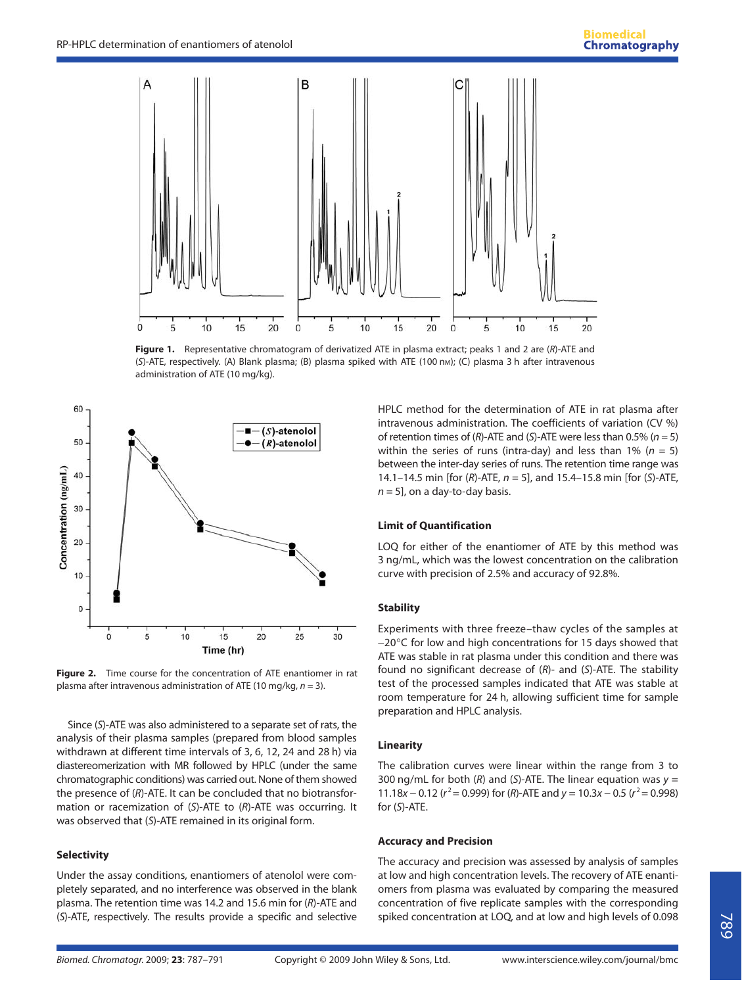

**Figure 1.** Representative chromatogram of derivatized ATE in plasma extract; peaks 1 and 2 are (R)-ATE and (S)-ATE, respectively. (A) Blank plasma; (B) plasma spiked with ATE (100 nm); (C) plasma 3 h after intravenous administration of ATE (10 mg/kg).



**Figure 2.** Time course for the concentration of ATE enantiomer in rat plasma after intravenous administration of ATE (10 mg/kg,  $n = 3$ ).

Since (S)-ATE was also administered to a separate set of rats, the analysis of their plasma samples (prepared from blood samples withdrawn at different time intervals of 3, 6, 12, 24 and 28 h) via diastereomerization with MR followed by HPLC (under the same chromatographic conditions) was carried out. None of them showed the presence of (R)-ATE. It can be concluded that no biotransformation or racemization of (S)-ATE to (R)-ATE was occurring. It was observed that (S)-ATE remained in its original form.

#### **Selectivity**

Under the assay conditions, enantiomers of atenolol were completely separated, and no interference was observed in the blank plasma. The retention time was 14.2 and 15.6 min for (R)-ATE and (S)-ATE, respectively. The results provide a specific and selective HPLC method for the determination of ATE in rat plasma after intravenous administration. The coefficients of variation (CV %) of retention times of (R)-ATE and (S)-ATE were less than 0.5% ( $n = 5$ ) within the series of runs (intra-day) and less than 1% ( $n = 5$ ) between the inter-day series of runs. The retention time range was 14.1–14.5 min [for (R)-ATE,  $n = 5$ ], and 15.4–15.8 min [for (S)-ATE,  $n = 5$ , on a day-to-day basis.

#### **Limit of Quantification**

LOQ for either of the enantiomer of ATE by this method was 3 ng/mL, which was the lowest concentration on the calibration curve with precision of 2.5% and accuracy of 92.8%.

#### **Stability**

Experiments with three freeze–thaw cycles of the samples at −20°C for low and high concentrations for 15 days showed that ATE was stable in rat plasma under this condition and there was found no significant decrease of  $(R)$ - and  $(S)$ -ATE. The stability test of the processed samples indicated that ATE was stable at room temperature for 24 h, allowing sufficient time for sample preparation and HPLC analysis.

#### **Linearity**

The calibration curves were linear within the range from 3 to 300 ng/mL for both (R) and (S)-ATE. The linear equation was  $y =$ 11.18x – 0.12 ( $r^2$  = 0.999) for (R)-ATE and y = 10.3x – 0.5 ( $r^2$  = 0.998) for (S)-ATE.

#### **Accuracy and Precision**

The accuracy and precision was assessed by analysis of samples at low and high concentration levels. The recovery of ATE enantiomers from plasma was evaluated by comparing the measured concentration of five replicate samples with the corresponding spiked concentration at LOQ, and at low and high levels of 0.098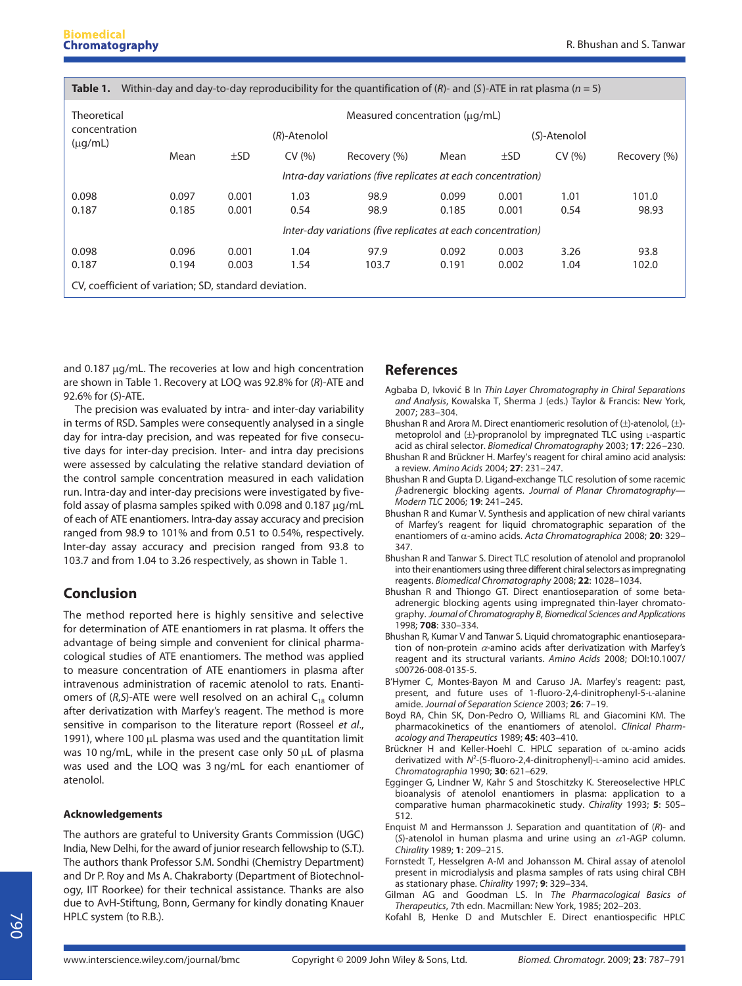| Within-day and day-to-day reproducibility for the quantification of $(R)$ - and $(S)$ -ATE in rat plasma $(n = 5)$<br>Table 1. |                                                                   |          |        |              |       |          |        |              |
|--------------------------------------------------------------------------------------------------------------------------------|-------------------------------------------------------------------|----------|--------|--------------|-------|----------|--------|--------------|
| Theoretical<br>concentration<br>$(\mu q/mL)$                                                                                   | Measured concentration (ug/mL)<br>$(R)$ -Atenolol<br>(S)-Atenolol |          |        |              |       |          |        |              |
|                                                                                                                                |                                                                   |          |        |              |       |          |        |              |
|                                                                                                                                | Mean                                                              | $\pm$ SD | CV(% ) | Recovery (%) | Mean  | $\pm$ SD | CV(% ) | Recovery (%) |
|                                                                                                                                | Intra-day variations (five replicates at each concentration)      |          |        |              |       |          |        |              |
| 0.098                                                                                                                          | 0.097                                                             | 0.001    | 1.03   | 98.9         | 0.099 | 0.001    | 1.01   | 101.0        |
| 0.187                                                                                                                          | 0.185                                                             | 0.001    | 0.54   | 98.9         | 0.185 | 0.001    | 0.54   | 98.93        |
|                                                                                                                                | Inter-day variations (five replicates at each concentration)      |          |        |              |       |          |        |              |
| 0.098                                                                                                                          | 0.096                                                             | 0.001    | 1.04   | 97.9         | 0.092 | 0.003    | 3.26   | 93.8         |
| 0.187                                                                                                                          | 0.194                                                             | 0.003    | 1.54   | 103.7        | 0.191 | 0.002    | 1.04   | 102.0        |
| CV, coefficient of variation; SD, standard deviation.                                                                          |                                                                   |          |        |              |       |          |        |              |

and 0.187 μg/mL. The recoveries at low and high concentration are shown in Table 1. Recovery at LOQ was 92.8% for (R)-ATE and 92.6% for (S)-ATE.

The precision was evaluated by intra- and inter-day variability in terms of RSD. Samples were consequently analysed in a single day for intra-day precision, and was repeated for five consecutive days for inter-day precision. Inter- and intra day precisions were assessed by calculating the relative standard deviation of the control sample concentration measured in each validation run. Intra-day and inter-day precisions were investigated by fivefold assay of plasma samples spiked with 0.098 and 0.187 μg/mL of each of ATE enantiomers. Intra-day assay accuracy and precision ranged from 98.9 to 101% and from 0.51 to 0.54%, respectively. Inter-day assay accuracy and precision ranged from 93.8 to 103.7 and from 1.04 to 3.26 respectively, as shown in Table 1.

## **Conclusion**

The method reported here is highly sensitive and selective for determination of ATE enantiomers in rat plasma. It offers the advantage of being simple and convenient for clinical pharmacological studies of ATE enantiomers. The method was applied to measure concentration of ATE enantiomers in plasma after intravenous administration of racemic atenolol to rats. Enantiomers of  $(R, S)$ -ATE were well resolved on an achiral C<sub>18</sub> column after derivatization with Marfey's reagent. The method is more sensitive in comparison to the literature report (Rosseel et al., 1991), where 100 μL plasma was used and the quantitation limit was 10 ng/mL, while in the present case only 50 μL of plasma was used and the LOQ was 3 ng/mL for each enantiomer of atenolol.

#### **Acknowledgements**

The authors are grateful to University Grants Commission (UGC) India, New Delhi, for the award of junior research fellowship to (S.T.). The authors thank Professor S.M. Sondhi (Chemistry Department) and Dr P. Roy and Ms A. Chakraborty (Department of Biotechnology, IIT Roorkee) for their technical assistance. Thanks are also due to AvH-Stiftung, Bonn, Germany for kindly donating Knauer HPLC system (to R.B.).

## **References**

- Agbaba D, Ivkovic B In Thin Layer Chromatography in Chiral Separations and Analysis, Kowalska T, Sherma J (eds.) Taylor & Francis: New York, 2007; 283–304.
- Bhushan R and Arora M. Direct enantiomeric resolution of (±)-atenolol, (±) metoprolol and  $(\pm)$ -propranolol by impregnated TLC using L-aspartic acid as chiral selector. Biomedical Chromatography 2003; **17**: 226–230.
- Bhushan R and Brückner H. Marfey′s reagent for chiral amino acid analysis: a review. Amino Acids 2004; **27**: 231–247.
- Bhushan R and Gupta D. Ligand-exchange TLC resolution of some racemic β-adrenergic blocking agents. Journal of Planar Chromatography— Modern TLC 2006; **19**: 241–245.
- Bhushan R and Kumar V. Synthesis and application of new chiral variants of Marfey's reagent for liquid chromatographic separation of the enantiomers of α-amino acids. Acta Chromatographica 2008; **20**: 329– 347.
- Bhushan R and Tanwar S. Direct TLC resolution of atenolol and propranolol into their enantiomers using three different chiral selectors as impregnating reagents. Biomedical Chromatography 2008; **22**: 1028–1034.
- Bhushan R and Thiongo GT. Direct enantioseparation of some betaadrenergic blocking agents using impregnated thin-layer chromatography. Journal of Chromatography B, Biomedical Sciences and Applications 1998; **708**: 330–334.
- Bhushan R, Kumar V and Tanwar S. Liquid chromatographic enantioseparation of non-protein  $\alpha$ -amino acids after derivatization with Marfey's reagent and its structural variants. Amino Acids 2008; DOI:10.1007/ s00726-008-0135-5.
- B'Hymer C, Montes-Bayon M and Caruso JA. Marfey's reagent: past, present, and future uses of 1-fluoro-2,4-dinitrophenyl-5-L-alanine amide. Journal of Separation Science 2003; **26**: 7–19.
- Boyd RA, Chin SK, Don-Pedro O, Williams RL and Giacomini KM. The pharmacokinetics of the enantiomers of atenolol. Clinical Pharmacology and Therapeutics 1989; **45**: 403–410.
- Brückner H and Keller-Hoehl C. HPLC separation of DL-amino acids derivatized with  $N^2$ -(5-fluoro-2,4-dinitrophenyl)-L-amino acid amides. Chromatographia 1990; **30**: 621–629.
- Egginger G, Lindner W, Kahr S and Stoschitzky K. Stereoselective HPLC bioanalysis of atenolol enantiomers in plasma: application to a comparative human pharmacokinetic study. Chirality 1993; **5**: 505– 512.
- Enquist M and Hermansson J. Separation and quantitation of (R)- and (S)-atenolol in human plasma and urine using an  $\alpha$ 1-AGP column. Chirality 1989; **1**: 209–215.
- Fornstedt T, Hesselgren A-M and Johansson M. Chiral assay of atenolol present in microdialysis and plasma samples of rats using chiral CBH as stationary phase. Chirality 1997; **9**: 329–334.
- Gilman AG and Goodman LS. In The Pharmacological Basics of Therapeutics, 7th edn. Macmillan: New York, 1985; 202–203.
- Kofahl B, Henke D and Mutschler E. Direct enantiospecific HPLC